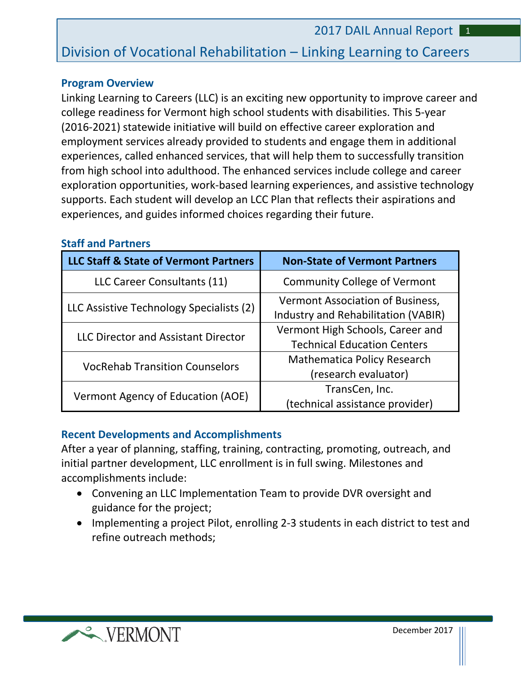# Division of Vocational Rehabilitation – Linking Learning to Careers

#### **Program Overview**

Linking Learning to Careers (LLC) is an exciting new opportunity to improve career and college readiness for Vermont high school students with disabilities. This 5-year (2016-2021) statewide initiative will build on effective career exploration and employment services already provided to students and engage them in additional experiences, called enhanced services, that will help them to successfully transition from high school into adulthood. The enhanced services include college and career exploration opportunities, work-based learning experiences, and assistive technology supports. Each student will develop an LCC Plan that reflects their aspirations and experiences, and guides informed choices regarding their future.

| LLC Staff & State of Vermont Partners      | <b>Non-State of Vermont Partners</b>                                    |
|--------------------------------------------|-------------------------------------------------------------------------|
| LLC Career Consultants (11)                | <b>Community College of Vermont</b>                                     |
| LLC Assistive Technology Specialists (2)   | Vermont Association of Business,<br>Industry and Rehabilitation (VABIR) |
| <b>LLC Director and Assistant Director</b> | Vermont High Schools, Career and<br><b>Technical Education Centers</b>  |
| <b>VocRehab Transition Counselors</b>      | <b>Mathematica Policy Research</b><br>(research evaluator)              |
| Vermont Agency of Education (AOE)          | TransCen, Inc.<br>(technical assistance provider)                       |

### **Staff and Partners**

### **Recent Developments and Accomplishments**

After a year of planning, staffing, training, contracting, promoting, outreach, and initial partner development, LLC enrollment is in full swing. Milestones and accomplishments include:

- Convening an LLC Implementation Team to provide DVR oversight and guidance for the project;
- Implementing a project Pilot, enrolling 2-3 students in each district to test and refine outreach methods;